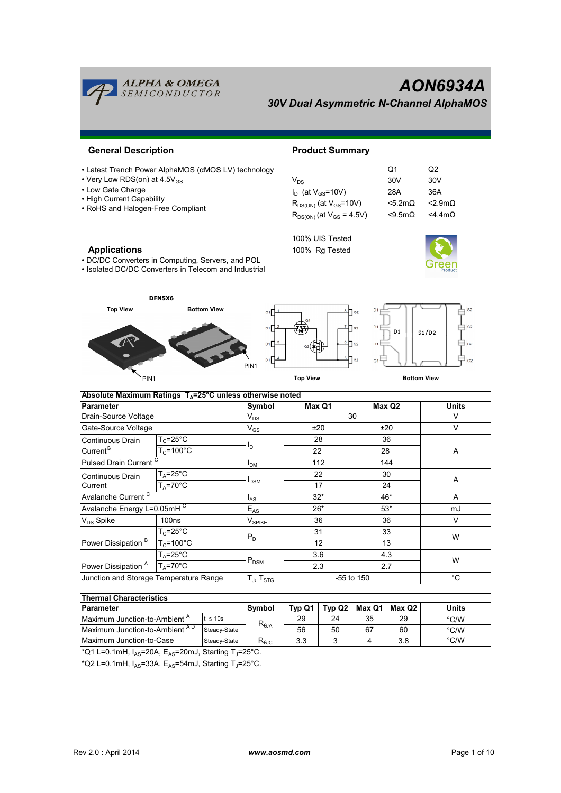| <u><b>ALPHA &amp; OMEGA</b><br/>SEMICONDUCTOR</u><br>AON6934A<br><b>30V Dual Asymmetric N-Channel AlphaMOS</b>                                                                                                                                                                                        |                                        |                                                                                                                                                                                  |                                  |                                   |                                                                        |            |                    |                       |
|-------------------------------------------------------------------------------------------------------------------------------------------------------------------------------------------------------------------------------------------------------------------------------------------------------|----------------------------------------|----------------------------------------------------------------------------------------------------------------------------------------------------------------------------------|----------------------------------|-----------------------------------|------------------------------------------------------------------------|------------|--------------------|-----------------------|
| <b>General Description</b>                                                                                                                                                                                                                                                                            |                                        |                                                                                                                                                                                  |                                  |                                   | <b>Product Summary</b>                                                 |            |                    |                       |
| • Latest Trench Power AlphaMOS (αMOS LV) technology<br>• Very Low RDS(on) at 4.5V <sub>GS</sub><br>• Low Gate Charge<br>• High Current Capability<br>• RoHS and Halogen-Free Compliant                                                                                                                |                                        | <u>Q1</u><br>30V<br>$V_{DS}$<br>$I_D$ (at $V_{GS}$ =10V)<br>28A<br>$<$ 5.2m $\Omega$<br>$R_{DS(ON)}$ (at $V_{GS}$ =10V)<br>$R_{DS(ON)}$ (at $V_{GS} = 4.5V$ )<br>$< 9.5 m\Omega$ |                                  |                                   | Q2<br>30 <sub>V</sub><br>36A<br>$<$ 2.9m $\Omega$<br>$<$ 4.4m $\Omega$ |            |                    |                       |
| <b>Applications</b><br>• DC/DC Converters in Computing, Servers, and POL<br>• Isolated DC/DC Converters in Telecom and Industrial                                                                                                                                                                     |                                        |                                                                                                                                                                                  |                                  | 100% UIS Tested<br>100% Rg Tested |                                                                        |            |                    |                       |
| DFN5X6<br><b>Top View</b><br><b>Bottom View</b><br>S <sub>2</sub><br>D <sub>1</sub><br>$\mathsf{a}_2$<br>G1<br>D <sub>1</sub><br>S <sub>2</sub><br>D <sub>1</sub><br>S <sub>2</sub><br>D1<br>S1/D2<br>D1<br>$\neg$ s2<br>$\parallel$ s2<br>D <sub>1</sub><br>ыſ<br>a2<br>G1<br>G2<br>PIN <sub>1</sub> |                                        |                                                                                                                                                                                  |                                  |                                   |                                                                        |            |                    |                       |
|                                                                                                                                                                                                                                                                                                       |                                        |                                                                                                                                                                                  |                                  |                                   |                                                                        |            |                    |                       |
| PIN <sub>1</sub>                                                                                                                                                                                                                                                                                      |                                        |                                                                                                                                                                                  |                                  | <b>Top View</b>                   |                                                                        |            | <b>Bottom View</b> |                       |
| Absolute Maximum Ratings $T_A = 25^\circ \text{C}$ unless otherwise noted<br><b>Parameter</b>                                                                                                                                                                                                         |                                        |                                                                                                                                                                                  |                                  |                                   |                                                                        |            |                    | <b>Units</b>          |
|                                                                                                                                                                                                                                                                                                       |                                        |                                                                                                                                                                                  | Symbol                           |                                   | Max Q1                                                                 | 30         | Max Q2             | V                     |
| Drain-Source Voltage                                                                                                                                                                                                                                                                                  |                                        |                                                                                                                                                                                  | $\mathsf{V}_{\mathsf{DS}}$       |                                   | ±20                                                                    |            | ±20                | V                     |
| Gate-Source Voltage<br>Continuous Drain                                                                                                                                                                                                                                                               |                                        |                                                                                                                                                                                  | $V_{GS}$                         |                                   | 28                                                                     |            | 36                 |                       |
| Current <sup>G</sup>                                                                                                                                                                                                                                                                                  | $T_c = 25$ °C<br>$T_c = 100^{\circ}$ C |                                                                                                                                                                                  | l <sub>D</sub>                   | 22                                |                                                                        | 28         |                    | A                     |
| <b>Pulsed Drain Current</b>                                                                                                                                                                                                                                                                           |                                        |                                                                                                                                                                                  | I <sub>DM</sub>                  |                                   | 112                                                                    |            | 144                |                       |
| Continuous Drain                                                                                                                                                                                                                                                                                      | $T_A = 25^{\circ}C$                    |                                                                                                                                                                                  |                                  |                                   | 22                                                                     |            | 30                 |                       |
| Current                                                                                                                                                                                                                                                                                               | $T_A = 70$ °C                          |                                                                                                                                                                                  | <b>I</b> <sub>DSM</sub>          |                                   | 17                                                                     |            | 24                 | A                     |
| Avalanche Current <sup>C</sup>                                                                                                                                                                                                                                                                        |                                        |                                                                                                                                                                                  | $I_{AS}$                         |                                   | $32*$                                                                  |            | 46*                | Α                     |
| Avalanche Energy L=0.05mHC                                                                                                                                                                                                                                                                            |                                        |                                                                                                                                                                                  | $E_{AS}$                         |                                   | $26*$                                                                  |            | $53*$              | mJ                    |
| V <sub>DS</sub> Spike                                                                                                                                                                                                                                                                                 | 100 <sub>ns</sub>                      |                                                                                                                                                                                  | $V_{\mathsf{SPIKE}}$             |                                   | 36                                                                     |            | 36                 | $\vee$                |
|                                                                                                                                                                                                                                                                                                       | $T_c = 25$ °C                          |                                                                                                                                                                                  |                                  |                                   | 31                                                                     |            | 33                 |                       |
| Power Dissipation <sup>B</sup>                                                                                                                                                                                                                                                                        | $T_C = 100^{\circ}C$                   |                                                                                                                                                                                  | $P_D$                            |                                   | 12                                                                     |            | 13                 | W                     |
|                                                                                                                                                                                                                                                                                                       | $T_A = 25$ °C                          |                                                                                                                                                                                  |                                  |                                   | $3.6\,$                                                                |            | 4.3                |                       |
| Power Dissipation <sup>A</sup>                                                                                                                                                                                                                                                                        | $T_A = 70$ °C                          |                                                                                                                                                                                  | $P_{DSM}$                        |                                   | 2.3                                                                    |            | 2.7                | W                     |
| Junction and Storage Temperature Range                                                                                                                                                                                                                                                                |                                        |                                                                                                                                                                                  | $T_J$ , $T_{STG}$                |                                   |                                                                        | -55 to 150 |                    | $^{\circ}C$           |
|                                                                                                                                                                                                                                                                                                       |                                        |                                                                                                                                                                                  |                                  |                                   |                                                                        |            |                    |                       |
| <b>Thermal Characteristics</b>                                                                                                                                                                                                                                                                        |                                        |                                                                                                                                                                                  |                                  |                                   |                                                                        |            |                    |                       |
| <b>Parameter</b>                                                                                                                                                                                                                                                                                      |                                        |                                                                                                                                                                                  | Symbol                           | Typ Q1                            | Typ Q2                                                                 | Max Q1     | Max Q2             | <b>Units</b>          |
| Maximum Junction-to-Ambient A<br>Maximum Junction-to-Ambient AD                                                                                                                                                                                                                                       |                                        | $t \leq 10s$<br>Steady-State                                                                                                                                                     | $\mathsf{R}_{\theta\mathsf{JA}}$ | 29<br>56                          | 24<br>50                                                               | 35<br>67   | 29<br>60           | $\degree$ C/W<br>°C/W |

\*Q1 L=0.1mH, I<sub>AS</sub>=20A, E<sub>AS</sub>=20mJ, Starting T<sub>J</sub>=25°C.

\*Q2 L=0.1mH,  $I_{AS}$ =33A, E<sub>AS</sub>=54mJ, Starting T<sub>J</sub>=25°C.

Steady-State RθJC 3.3 3 4 3.8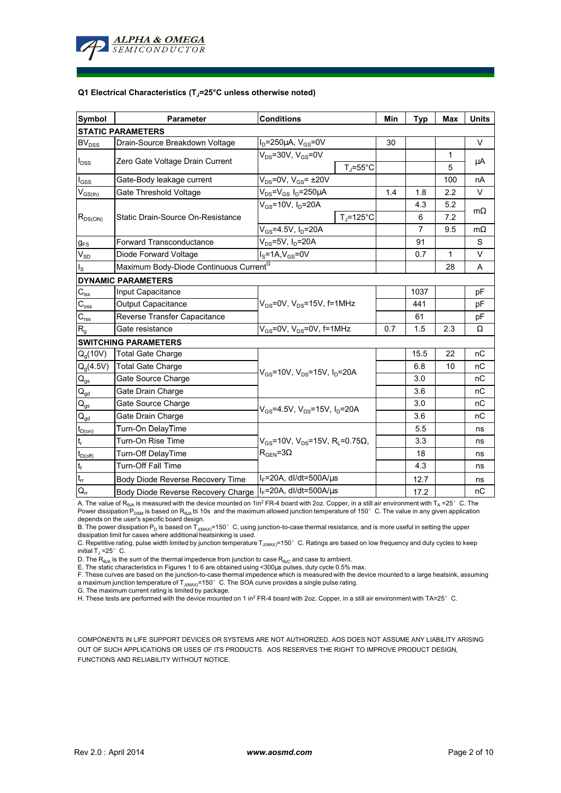

## **Q1 Electrical Characteristics (TJ=25°C unless otherwise noted)**

| <b>Symbol</b>              | <b>Conditions</b><br><b>Parameter</b>                      |                                                                                                    | Min                | <b>Typ</b> | <b>Max</b>     | <b>Units</b> |           |  |
|----------------------------|------------------------------------------------------------|----------------------------------------------------------------------------------------------------|--------------------|------------|----------------|--------------|-----------|--|
| <b>STATIC PARAMETERS</b>   |                                                            |                                                                                                    |                    |            |                |              |           |  |
| <b>BV<sub>DSS</sub></b>    | Drain-Source Breakdown Voltage                             | $I_D = 250 \mu A$ , $V_{GS} = 0V$                                                                  |                    | 30         |                |              | $\vee$    |  |
| $I_{DSS}$                  | Zero Gate Voltage Drain Current                            | $V_{DS}$ =30V, $V_{GS}$ =0V                                                                        |                    |            |                | $\mathbf{1}$ | μA        |  |
|                            |                                                            | $T_J = 55^{\circ}C$                                                                                |                    |            |                | 5            |           |  |
| $I_{GSS}$                  | Gate-Body leakage current                                  | $V_{DS}$ =0V, $V_{GS}$ = ±20V                                                                      |                    |            |                | 100          | nA        |  |
| $V_{GS(th)}$               | Gate Threshold Voltage                                     | $V_{DS} = V_{GS} I_D = 250 \mu A$                                                                  |                    | 1.4        | 1.8            | 2.2          | V         |  |
| $R_{DS(ON)}$               | Static Drain-Source On-Resistance                          | $V_{GS}$ =10V, $I_{D}$ =20A                                                                        |                    |            | 4.3            | 5.2          | $m\Omega$ |  |
|                            |                                                            |                                                                                                    | $T_{\rm J}$ =125°C |            | 6              | 7.2          |           |  |
|                            |                                                            | $V_{GS} = 4.5V, I_D = 20A$                                                                         |                    |            | $\overline{7}$ | 9.5          | $m\Omega$ |  |
| $g_{FS}$                   | <b>Forward Transconductance</b>                            | $V_{DS}$ =5V, I <sub>D</sub> =20A                                                                  |                    |            | 91             |              | S         |  |
| $\rm V_{SD}$               | Diode Forward Voltage                                      | $IS=1A, VGS=0V$                                                                                    |                    |            | 0.7            | 1            | V         |  |
| $I_{\rm S}$                | Maximum Body-Diode Continuous Current <sup>G</sup>         |                                                                                                    |                    |            |                | 28           | A         |  |
|                            | <b>DYNAMIC PARAMETERS</b>                                  |                                                                                                    |                    |            |                |              |           |  |
| $C_{\rm iss}$              | Input Capacitance                                          | $V_{GS}$ =0V, $V_{DS}$ =15V, f=1MHz<br>$V_{GS}$ =0V, V <sub>DS</sub> =0V, f=1MHz                   |                    |            | 1037           |              | рF        |  |
| $C_{\rm oss}$              | <b>Output Capacitance</b>                                  |                                                                                                    |                    |            | 441            |              | рF        |  |
| $C_{\rm rss}$              | Reverse Transfer Capacitance                               |                                                                                                    |                    |            | 61             |              | pF        |  |
| R <sub>g</sub>             | Gate resistance                                            |                                                                                                    |                    | 0.7        | 1.5            | 2.3          | Ω         |  |
|                            | <b>SWITCHING PARAMETERS</b>                                |                                                                                                    |                    |            |                |              |           |  |
| $Q_q(10V)$                 | Total Gate Charge                                          | $V_{GS}$ =10V, $V_{DS}$ =15V, $I_D$ =20A                                                           |                    |            | 15.5           | 22           | пC        |  |
| $Q_q(4.5V)$                | <b>Total Gate Charge</b>                                   |                                                                                                    |                    |            | 6.8            | 10           | nC        |  |
| $\mathsf{Q}_{\mathsf{gs}}$ | Gate Source Charge                                         |                                                                                                    |                    |            | 3.0            |              | nC        |  |
| $\mathsf{Q}_{\mathsf{gd}}$ | Gate Drain Charge                                          |                                                                                                    |                    |            | 3.6            |              | nC        |  |
| $\mathsf{Q}_{\text{gs}}$   | Gate Source Charge                                         | $V_{GS}$ =4.5V, $V_{DS}$ =15V, $I_{D}$ =20A                                                        |                    |            | 3.0            |              | nC        |  |
| $\mathsf{Q}_{\text{gd}}$   | Gate Drain Charge                                          |                                                                                                    |                    |            | 3.6            |              | nС        |  |
| $t_{D(0n)}$                | Turn-On DelayTime                                          |                                                                                                    |                    |            | 5.5            |              | ns        |  |
| $\mathfrak{t}_{\sf r}$     | Turn-On Rise Time                                          | $V_{GS}$ =10V, V <sub>DS</sub> =15V, R <sub>L</sub> =0.75 $\Omega$ ,<br>$R_{\text{GEN}} = 3\Omega$ |                    |            | 3.3            |              | ns        |  |
| $t_{D(off)}$               | Turn-Off DelayTime                                         |                                                                                                    |                    |            | 18             |              | ns        |  |
| $\mathsf{t}_{\mathsf{f}}$  | <b>Turn-Off Fall Time</b>                                  |                                                                                                    |                    |            | 4.3            |              | ns        |  |
| $t_{rr}$                   | Body Diode Reverse Recovery Time                           | $I_F$ =20A, dl/dt=500A/ $\mu$ s                                                                    |                    |            | 12.7           |              | ns        |  |
| $Q_{rr}$                   | Body Diode Reverse Recovery Charge   IF=20A, dl/dt=500A/us |                                                                                                    |                    |            | 17.2           |              | nC        |  |

A. The value of R<sub>θJA</sub> is measured with the device mounted on 1in<sup>2</sup> FR-4 board with 2oz. Copper, in a still air environment with T<sub>A</sub> =25°C. The Power dissipation P<sub>DSM</sub> is based on R<sub>θJA</sub> t≤ 10s and the maximum allowed junction temperature of 150°C. The value in any given application depends on the user's specific board design.

B. The power dissipation P<sub>D</sub> is based on T<sub>J(MAX)</sub>=150°C, using junction-to-case thermal resistance, and is more useful in setting the upper<br>dissipation limit for cases where additional heatsinking is used.

C. Repetitive rating, pulse width limited by junction temperature  $T_{J(MAX)}$ =150°C. Ratings are based on low frequency and duty cycles to keep initial  $T_J = 25^\circ$  C.

D. The  $R_{\theta JA}$  is the sum of the thermal impedence from junction to case  $R_{\theta JC}$  and case to ambient.

E. The static characteristics in Figures 1 to 6 are obtained using <300µs pulses, duty cycle 0.5% max.<br>F. These curves are based on the junction-to-case thermal impedence which is measured with the device mounted to a larg a maximum junction temperature of T<sub>J(MAX)</sub>=150°C. The SOA curve provides a single pulse rating.

G. The maximum current rating is limited by package.

H. These tests are performed with the device mounted on 1 in<sup>2</sup> FR-4 board with 2oz. Copper, in a still air environment with TA=25°C.

COMPONENTS IN LIFE SUPPORT DEVICES OR SYSTEMS ARE NOT AUTHORIZED. AOS DOES NOT ASSUME ANY LIABILITY ARISING OUT OF SUCH APPLICATIONS OR USES OF ITS PRODUCTS. AOS RESERVES THE RIGHT TO IMPROVE PRODUCT DESIGN, FUNCTIONS AND RELIABILITY WITHOUT NOTICE.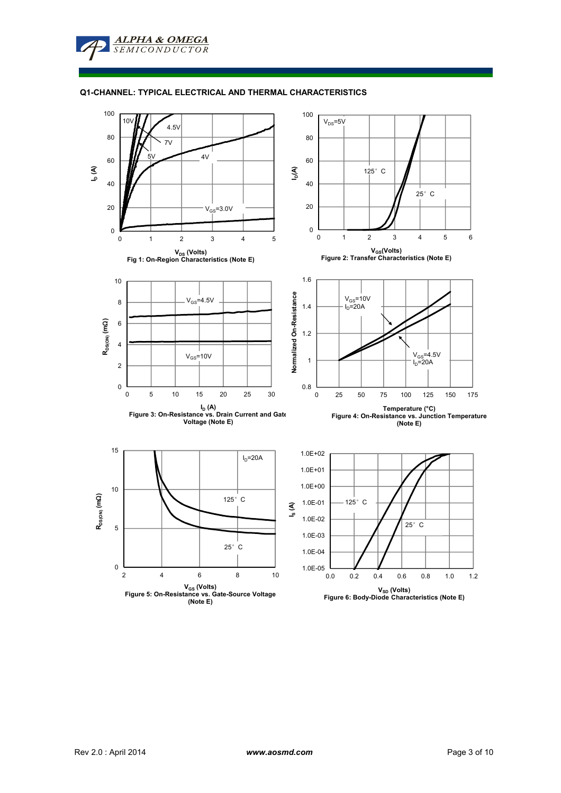## **Q1-CHANNEL: TYPICAL ELECTRICAL AND THERMAL CHARACTERISTICS**

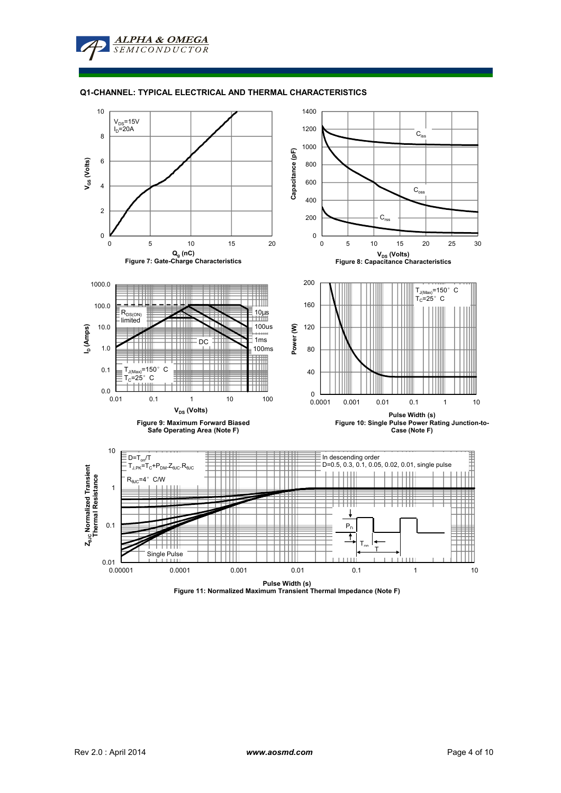### **Q1-CHANNEL: TYPICAL ELECTRICAL AND THERMAL CHARACTERISTICS**



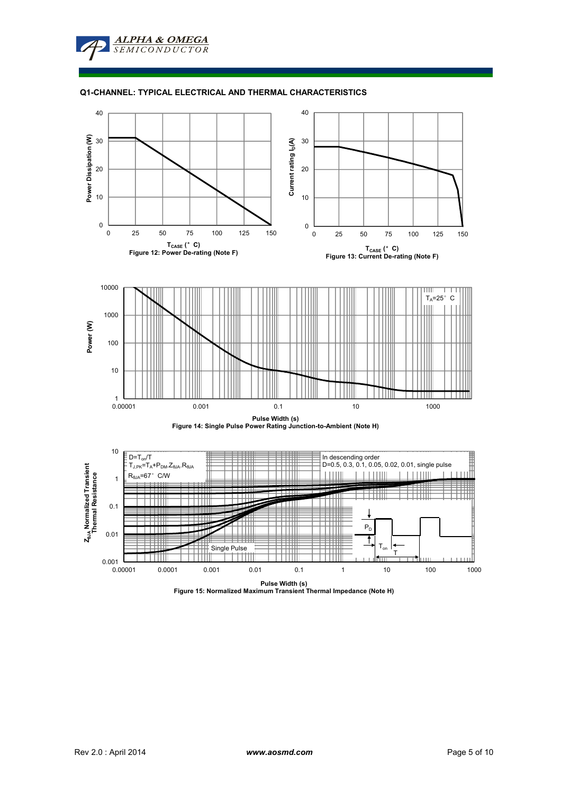## **Q1-CHANNEL: TYPICAL ELECTRICAL AND THERMAL CHARACTERISTICS**



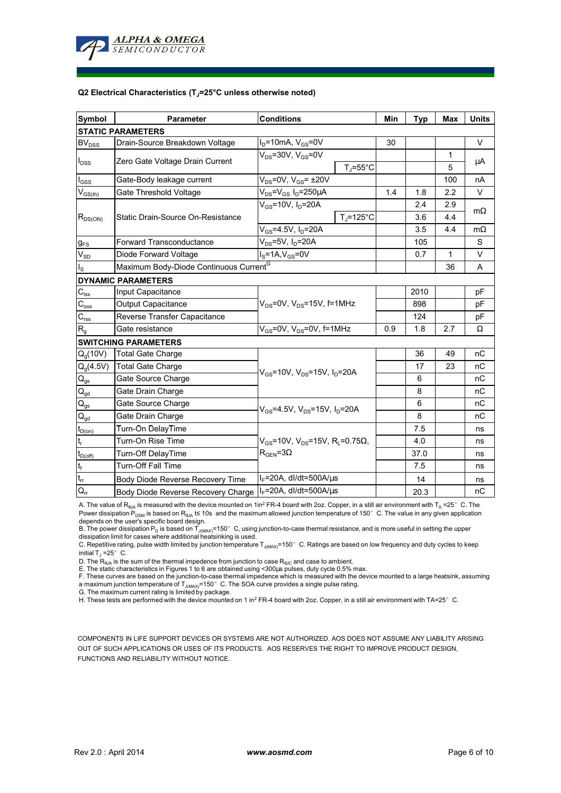

## **Q2 Electrical Characteristics (TJ=25°C unless otherwise noted)**

| <b>Symbol</b>               | <b>Conditions</b><br><b>Parameter</b>              |                                                             | Min | <b>Typ</b> | <b>Max</b> | <b>Units</b> |  |
|-----------------------------|----------------------------------------------------|-------------------------------------------------------------|-----|------------|------------|--------------|--|
| <b>STATIC PARAMETERS</b>    |                                                    |                                                             |     |            |            |              |  |
| $BV_{DSS}$                  | Drain-Source Breakdown Voltage                     | $ID=10mA, VGS=0V$                                           | 30  |            |            | $\vee$       |  |
| $I_{DSS}$                   | Zero Gate Voltage Drain Current                    | $V_{DS}$ =30V, $V_{GS}$ =0V                                 |     |            | 1          | μA           |  |
|                             |                                                    | $T_J = 55^{\circ}C$                                         |     |            | 5          |              |  |
| $I_{\rm GSS}$               | Gate-Body leakage current                          | $V_{DS}$ =0V, $V_{GS}$ = ±20V                               |     |            | 100        | nA           |  |
| $V_{GS(th)}$                | Gate Threshold Voltage                             | $V_{DS} = V_{GS} I_D = 250 \mu A$                           | 1.4 | 1.8        | 2.2        | $\vee$       |  |
| $R_{DS(ON)}$                | Static Drain-Source On-Resistance                  | $V_{GS}$ =10V, $I_{D}$ =20A                                 |     | 2.4        | 2.9        | $m\Omega$    |  |
|                             |                                                    | $T_{\rm J}$ =125°C                                          |     | 3.6        | 4.4        |              |  |
|                             |                                                    | $V_{GS} = 4.5V$ , $I_D = 20A$                               |     | 3.5        | 4.4        | $m\Omega$    |  |
| $g_{FS}$                    | <b>Forward Transconductance</b>                    | $V_{DS}$ =5V, $I_D$ =20A                                    |     | 105        |            | S            |  |
| $V_{SD}$                    | Diode Forward Voltage                              | $I_S = 1A$ , $V_{GS} = 0V$                                  |     | 0.7        | 1          | $\vee$       |  |
| I <sub>s</sub>              | Maximum Body-Diode Continuous Current <sup>G</sup> |                                                             |     |            | 36         | A            |  |
|                             | <b>DYNAMIC PARAMETERS</b>                          |                                                             |     |            |            |              |  |
| $\mathbf{C}_{\mathsf{iss}}$ | Input Capacitance                                  |                                                             |     | 2010       |            | рF           |  |
| $C_{\rm oss}$               | <b>Output Capacitance</b>                          | $V_{GS}$ =0V, $V_{DS}$ =15V, f=1MHz                         |     | 898        |            | pF           |  |
| $C_{\text{rss}}$            | Reverse Transfer Capacitance                       |                                                             |     | 124        |            | рF           |  |
| $R_{q}$                     | Gate resistance                                    | $V_{GS}$ =0V, V <sub>DS</sub> =0V, f=1MHz                   | 0.9 | 1.8        | 2.7        | Ω            |  |
|                             | <b>SWITCHING PARAMETERS</b>                        |                                                             |     |            |            |              |  |
| $Q_q(10V)$                  | <b>Total Gate Charge</b>                           |                                                             |     | 36         | 49         | nC           |  |
| $Q_g(4.5V)$                 | <b>Total Gate Charge</b>                           | $V_{GS}$ =10V, $V_{DS}$ =15V, $I_D$ =20A                    |     | 17         | 23         | nC           |  |
| $\mathbf{Q}_\text{gs}$      | Gate Source Charge                                 |                                                             |     | 6          |            | nC           |  |
| $\mathsf{Q}_{\text{gd}}$    | Gate Drain Charge                                  |                                                             |     | 8          |            | пC           |  |
| $\mathsf{Q}_{\mathsf{gs}}$  | Gate Source Charge                                 | $V_{GS}$ =4.5V, $V_{DS}$ =15V, $I_{D}$ =20A                 |     | 6          |            | nC           |  |
| $\mathsf{Q}_{\text{gd}}$    | Gate Drain Charge                                  |                                                             |     | 8          |            | nC           |  |
| $t_{D(0n)}$                 | Turn-On DelayTime                                  |                                                             |     | 7.5        |            | ns           |  |
| $t_r$                       | Turn-On Rise Time                                  | $V_{GS}$ =10V, V <sub>DS</sub> =15V, R <sub>L</sub> =0.75Ω, |     | 4.0        |            | ns           |  |
| $t_{D(off)}$                | Turn-Off DelayTime                                 | $R_{\text{GFN}} = 3\Omega$                                  |     | 37.0       |            | ns           |  |
| $\mathfrak{t}_{\mathsf{f}}$ | Turn-Off Fall Time                                 |                                                             |     | 7.5        |            | ns           |  |
| $\mathfrak{t}_{\text{rr}}$  | Body Diode Reverse Recovery Time                   | $I_F$ =20A, dl/dt=500A/ $\mu$ s                             |     | 14         |            | ns           |  |
| $Q_{rr}$                    | Body Diode Reverse Recovery Charge                 | $I_F$ =20A, dl/dt=500A/ $\mu$ s                             |     | 20.3       |            | nC           |  |

A. The value of R<sub>ala</sub> is measured with the device mounted on 1in<sup>2</sup> FR-4 board with 2oz. Copper, in a still air environment with T<sub>a</sub> =25°C. The Power dissipation  $\widetilde{P}_{DSM}$  is based on  $R_{\theta JA}$  t≤ 10s and the maximum allowed junction temperature of 150°C. The value in any given application depends on the user's specific board design.

B. The power dissipation P<sub>D</sub> is based on T<sub>J(MAX)</sub>=150°C, using junction-to-case thermal resistance, and is more useful in setting the upper<br>dissipation limit for cases where additional heatsinking is used.

C. Repetitive rating, pulse width limited by junction temperature T<sub>J(MAX)</sub>=150°C. Ratings are based on low frequency and duty cycles to keep initial  $T_1 = 25^\circ$  C.

D. The R<sub>6JA</sub> is the sum of the thermal impedence from junction to case R<sub>6JC</sub> and case to ambient.<br>E. The static characteristics in Figures 1 to 6 are obtained using <300µs pulses, duty cycle 0.5% max.<br>F. These curves are a maximum junction temperature of T<sub>J(MAX)</sub>=150°C. The SOA curve provides a single pulse rating.

G. The maximum current rating is limited by package.

H. These tests are performed with the device mounted on 1 in<sup>2</sup> FR-4 board with 2oz. Copper, in a still air environment with TA=25°C.

COMPONENTS IN LIFE SUPPORT DEVICES OR SYSTEMS ARE NOT AUTHORIZED. AOS DOES NOT ASSUME ANY LIABILITY ARISING OUT OF SUCH APPLICATIONS OR USES OF ITS PRODUCTS. AOS RESERVES THE RIGHT TO IMPROVE PRODUCT DESIGN, FUNCTIONS AND RELIABILITY WITHOUT NOTICE.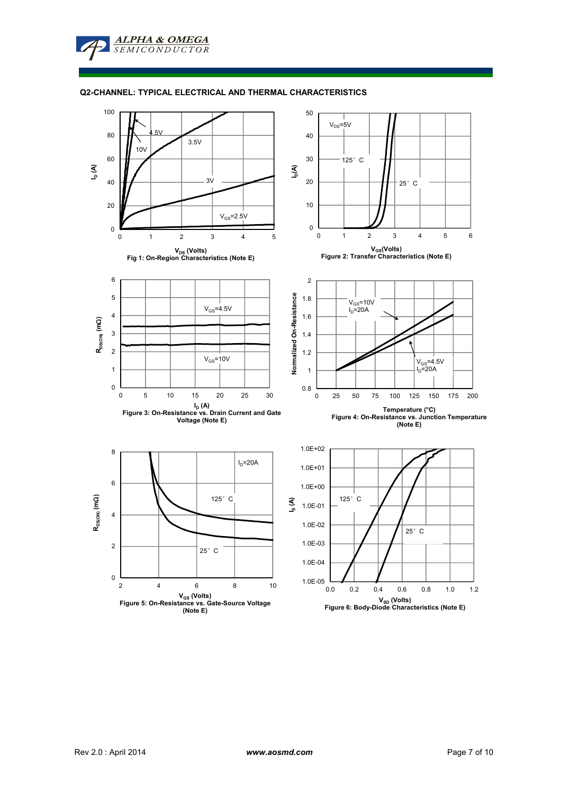**Q2-CHANNEL: TYPICAL ELECTRICAL AND THERMAL CHARACTERISTICS**

**ALPHA & OMEGA SEMICONDUCTOR** 



**VSD (Volts) Figure 6: Body-Diode Characteristics (Note E)**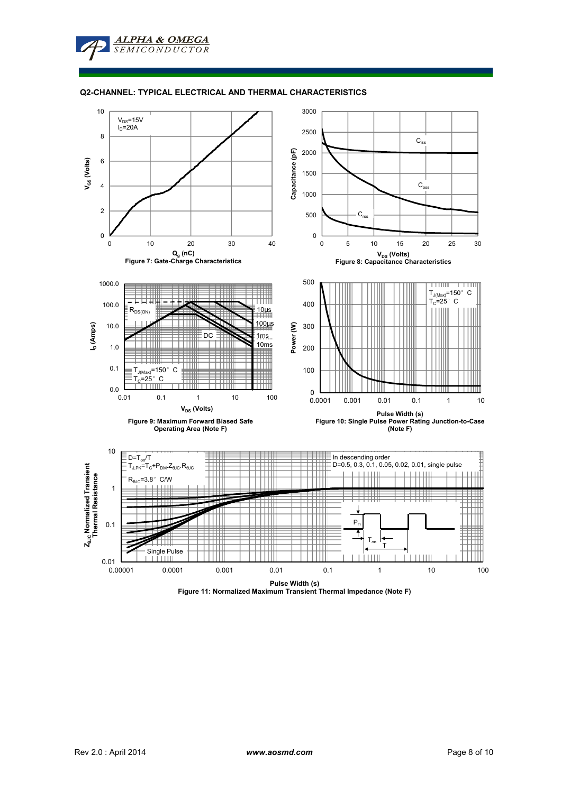### **Q2-CHANNEL: TYPICAL ELECTRICAL AND THERMAL CHARACTERISTICS**



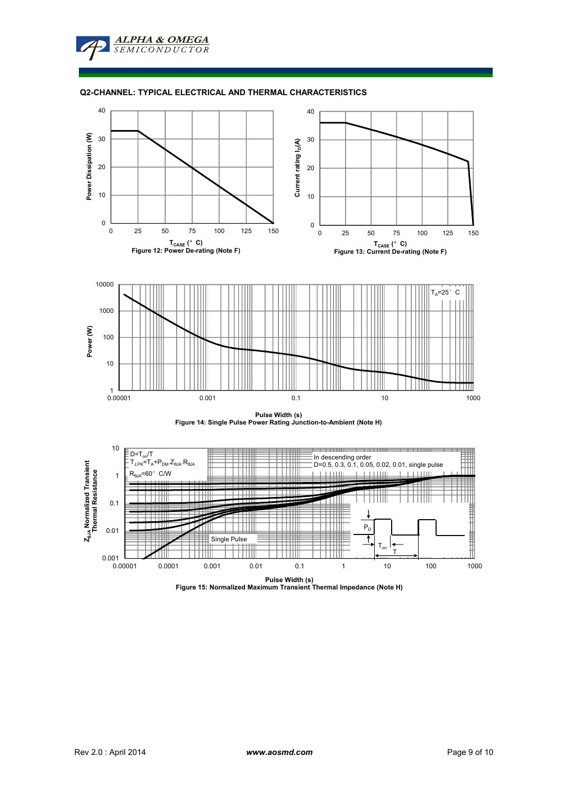## **Q2-CHANNEL: TYPICAL ELECTRICAL AND THERMAL CHARACTERISTICS**